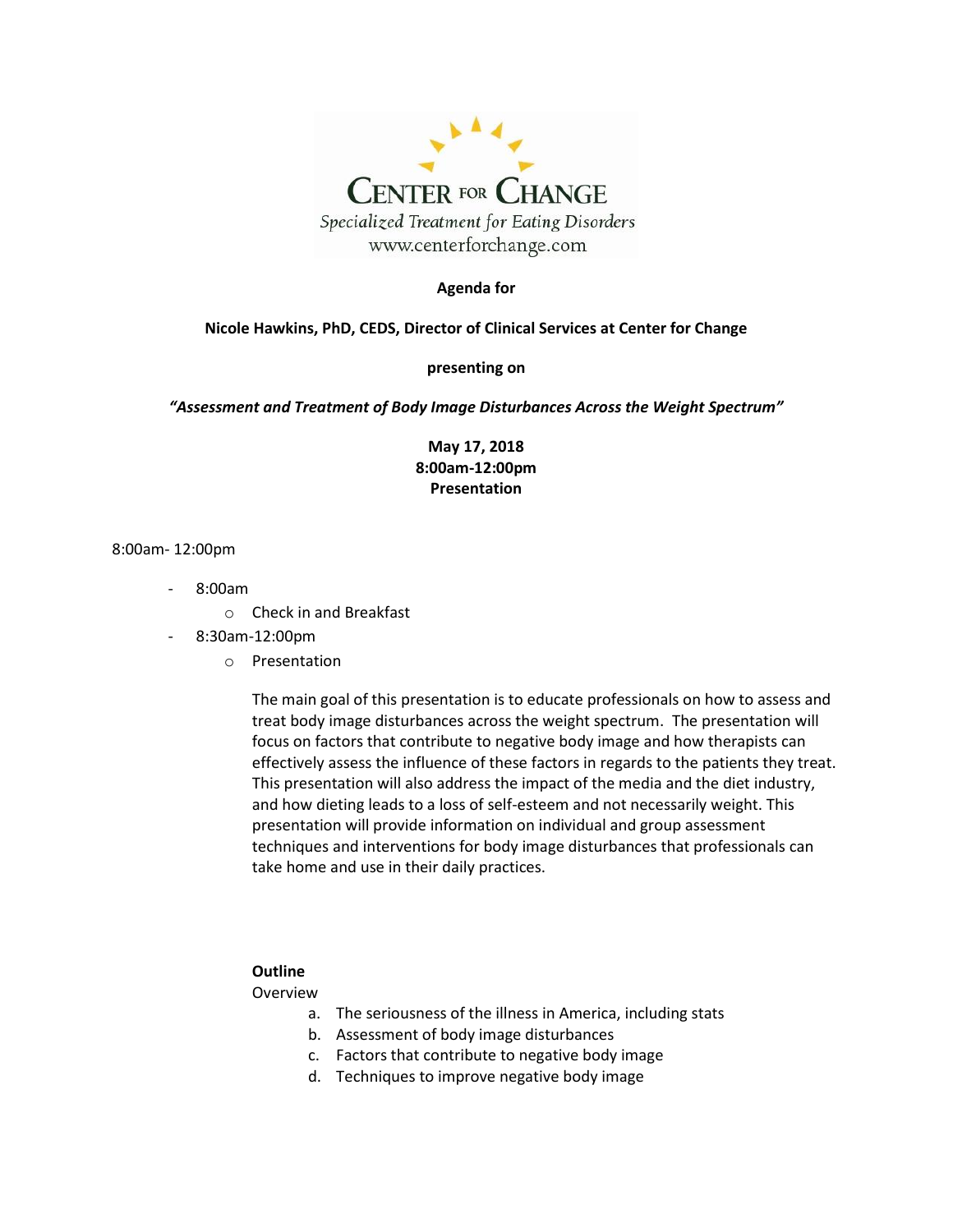

#### **Agenda for**

#### **Nicole Hawkins, PhD, CEDS, Director of Clinical Services at Center for Change**

#### **presenting on**

*"Assessment and Treatment of Body Image Disturbances Across the Weight Spectrum"*

**May 17, 2018 8:00am-12:00pm Presentation**

#### 8:00am- 12:00pm

- 8:00am
	- o Check in and Breakfast
- 8:30am-12:00pm
	- o Presentation

The main goal of this presentation is to educate professionals on how to assess and treat body image disturbances across the weight spectrum. The presentation will focus on factors that contribute to negative body image and how therapists can effectively assess the influence of these factors in regards to the patients they treat. This presentation will also address the impact of the media and the diet industry, and how dieting leads to a loss of self-esteem and not necessarily weight. This presentation will provide information on individual and group assessment techniques and interventions for body image disturbances that professionals can take home and use in their daily practices.

#### **Outline**

#### Overview

- a. The seriousness of the illness in America, including stats
- b. Assessment of body image disturbances
- c. Factors that contribute to negative body image
- d. Techniques to improve negative body image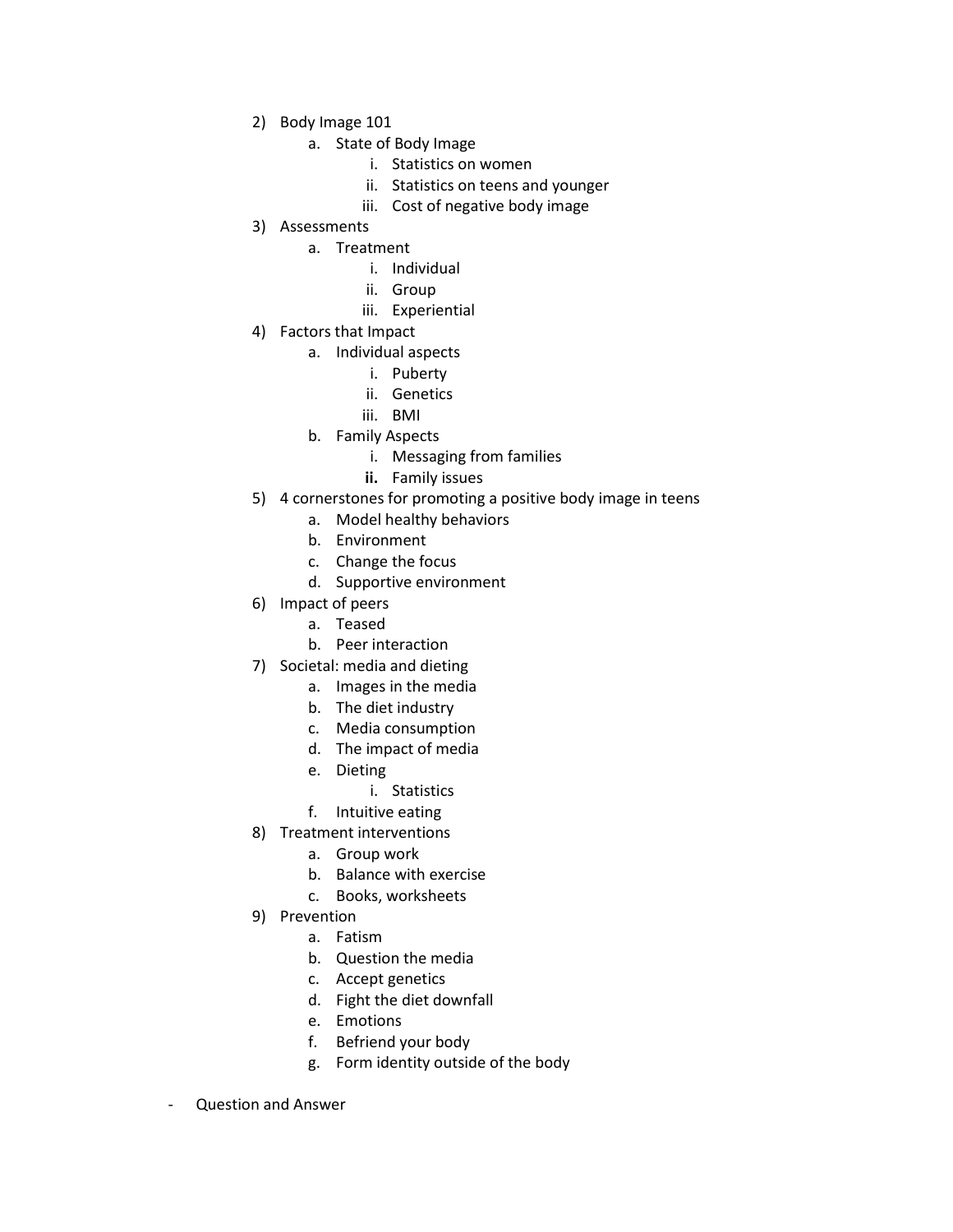- 2) Body Image 101
	- a. State of Body Image
		- i. Statistics on women
		- ii. Statistics on teens and younger
		- iii. Cost of negative body image
- 3) Assessments
	- a. Treatment
		- i. Individual
		- ii. Group
		- iii. Experiential
- 4) Factors that Impact
	- a. Individual aspects
		- i. Puberty
		- ii. Genetics
		- iii. BMI
	- b. Family Aspects
		- i. Messaging from families
		- **ii.** Family issues
- 5) 4 cornerstones for promoting a positive body image in teens
	- a. Model healthy behaviors
	- b. Environment
	- c. Change the focus
	- d. Supportive environment
- 6) Impact of peers
	- a. Teased
	- b. Peer interaction
- 7) Societal: media and dieting
	- a. Images in the media
	- b. The diet industry
	- c. Media consumption
	- d. The impact of media
	- e. Dieting
	- i. Statistics
	- f. Intuitive eating
- 8) Treatment interventions
	- a. Group work
	- b. Balance with exercise
	- c. Books, worksheets
- 9) Prevention
	- a. Fatism
	- b. Question the media
	- c. Accept genetics
	- d. Fight the diet downfall
	- e. Emotions
	- f. Befriend your body
	- g. Form identity outside of the body
- Question and Answer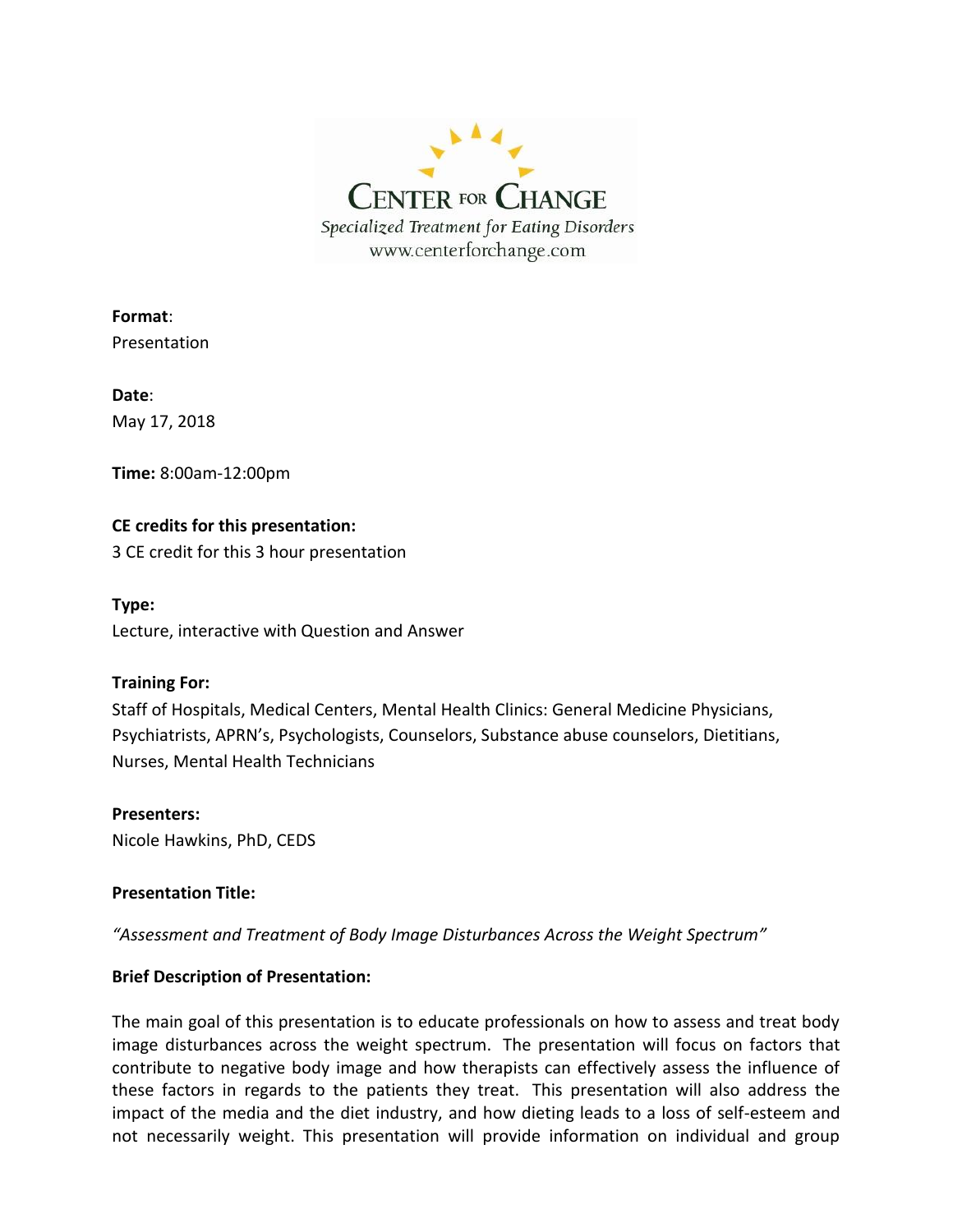

**Format**: Presentation

**Date**: May 17, 2018

**Time:** 8:00am-12:00pm

# **CE credits for this presentation:**

3 CE credit for this 3 hour presentation

**Type:**

Lecture, interactive with Question and Answer

## **Training For:**

Staff of Hospitals, Medical Centers, Mental Health Clinics: General Medicine Physicians, Psychiatrists, APRN's, Psychologists, Counselors, Substance abuse counselors, Dietitians, Nurses, Mental Health Technicians

**Presenters:** Nicole Hawkins, PhD, CEDS

## **Presentation Title:**

*"Assessment and Treatment of Body Image Disturbances Across the Weight Spectrum"*

## **Brief Description of Presentation:**

The main goal of this presentation is to educate professionals on how to assess and treat body image disturbances across the weight spectrum. The presentation will focus on factors that contribute to negative body image and how therapists can effectively assess the influence of these factors in regards to the patients they treat. This presentation will also address the impact of the media and the diet industry, and how dieting leads to a loss of self-esteem and not necessarily weight. This presentation will provide information on individual and group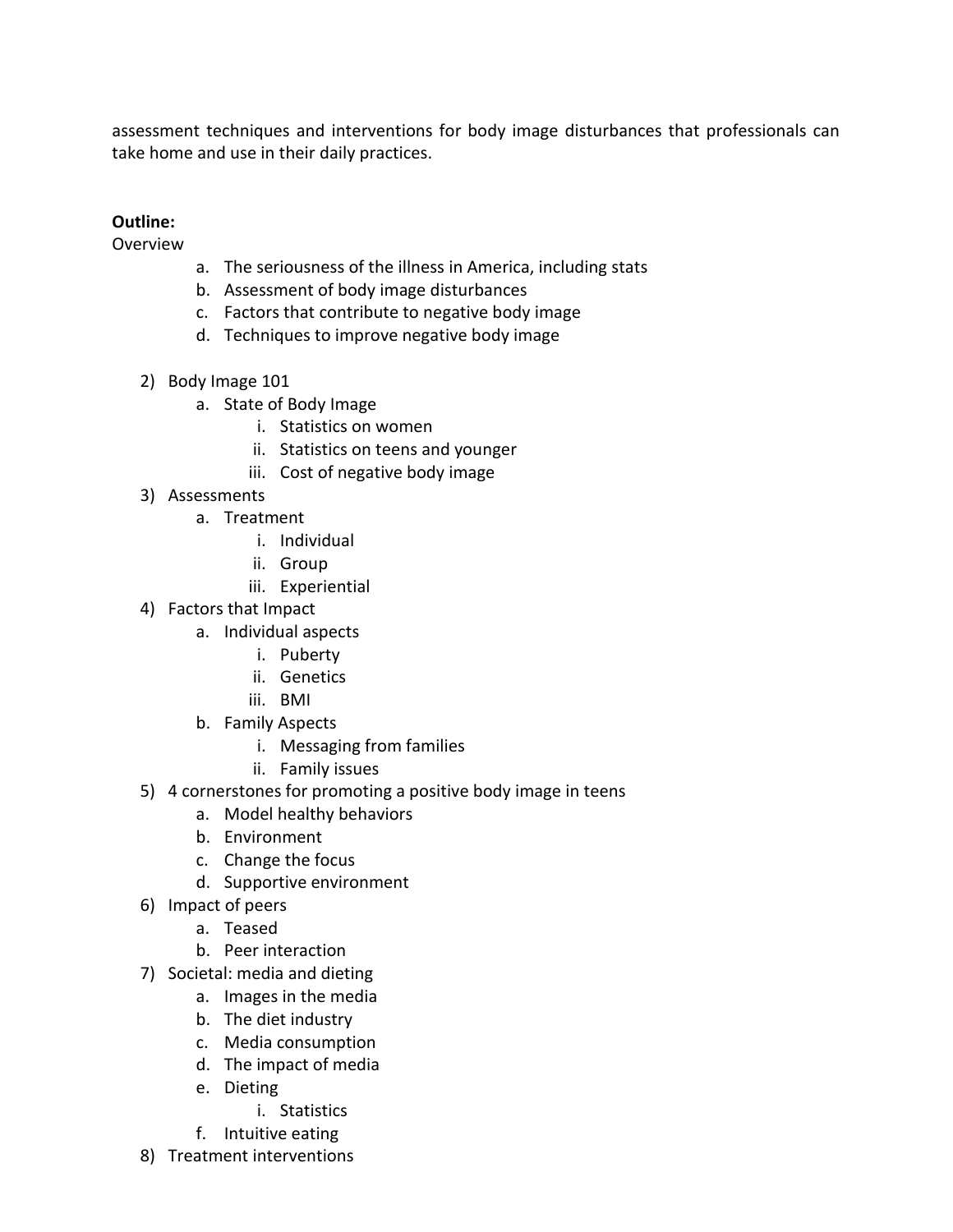assessment techniques and interventions for body image disturbances that professionals can take home and use in their daily practices.

# **Outline:**

Overview

- a. The seriousness of the illness in America, including stats
- b. Assessment of body image disturbances
- c. Factors that contribute to negative body image
- d. Techniques to improve negative body image
- 2) Body Image 101
	- a. State of Body Image
		- i. Statistics on women
		- ii. Statistics on teens and younger
		- iii. Cost of negative body image
- 3) Assessments
	- a. Treatment
		- i. Individual
		- ii. Group
		- iii. Experiential
- 4) Factors that Impact
	- a. Individual aspects
		- i. Puberty
		- ii. Genetics
		- iii. BMI
	- b. Family Aspects
		- i. Messaging from families
		- ii. Family issues
- 5) 4 cornerstones for promoting a positive body image in teens
	- a. Model healthy behaviors
	- b. Environment
	- c. Change the focus
	- d. Supportive environment
- 6) Impact of peers
	- a. Teased
	- b. Peer interaction
- 7) Societal: media and dieting
	- a. Images in the media
	- b. The diet industry
	- c. Media consumption
	- d. The impact of media
	- e. Dieting
		- i. Statistics
	- f. Intuitive eating
- 8) Treatment interventions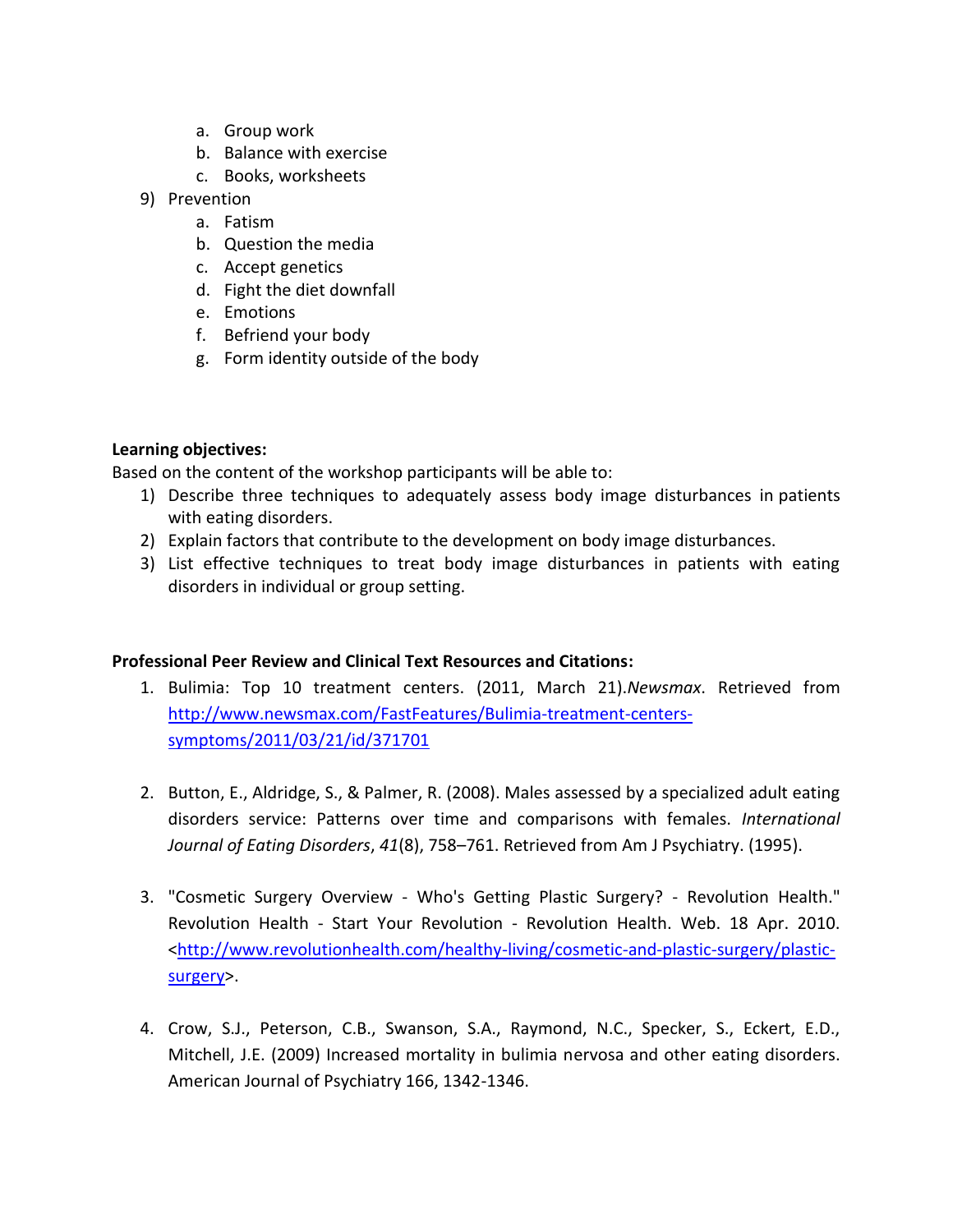- a. Group work
- b. Balance with exercise
- c. Books, worksheets
- 9) Prevention
	- a. Fatism
	- b. Question the media
	- c. Accept genetics
	- d. Fight the diet downfall
	- e. Emotions
	- f. Befriend your body
	- g. Form identity outside of the body

## **Learning objectives:**

Based on the content of the workshop participants will be able to:

- 1) Describe three techniques to adequately assess body image disturbances in patients with eating disorders.
- 2) Explain factors that contribute to the development on body image disturbances.
- 3) List effective techniques to treat body image disturbances in patients with eating disorders in individual or group setting.

## **Professional Peer Review and Clinical Text Resources and Citations:**

- 1. Bulimia: Top 10 treatment centers. (2011, March 21).*Newsmax*. Retrieved from [http://www.newsmax.com/FastFeatures/Bulimia-treatment-centers](http://www.newsmax.com/FastFeatures/Bulimia-treatment-centers-symptoms/2011/03/21/id/371701)[symptoms/2011/03/21/id/371701](http://www.newsmax.com/FastFeatures/Bulimia-treatment-centers-symptoms/2011/03/21/id/371701)
- 2. Button, E., Aldridge, S., & Palmer, R. (2008). Males assessed by a specialized adult eating disorders service: Patterns over time and comparisons with females. *International Journal of Eating Disorders*, *41*(8), 758–761. Retrieved from Am J Psychiatry. (1995).
- 3. "Cosmetic Surgery Overview Who's Getting Plastic Surgery? Revolution Health." Revolution Health - Start Your Revolution - Revolution Health. Web. 18 Apr. 2010. [<http://www.revolutionhealth.com/healthy-living/cosmetic-and-plastic-surgery/plastic](http://www.revolutionhealth.com/healthy-living/cosmetic-and-plastic-surgery/plastic-surgery)[surgery>](http://www.revolutionhealth.com/healthy-living/cosmetic-and-plastic-surgery/plastic-surgery).
- 4. Crow, S.J., Peterson, C.B., Swanson, S.A., Raymond, N.C., Specker, S., Eckert, E.D., Mitchell, J.E. (2009) Increased mortality in bulimia nervosa and other eating disorders. American Journal of Psychiatry 166, 1342-1346.